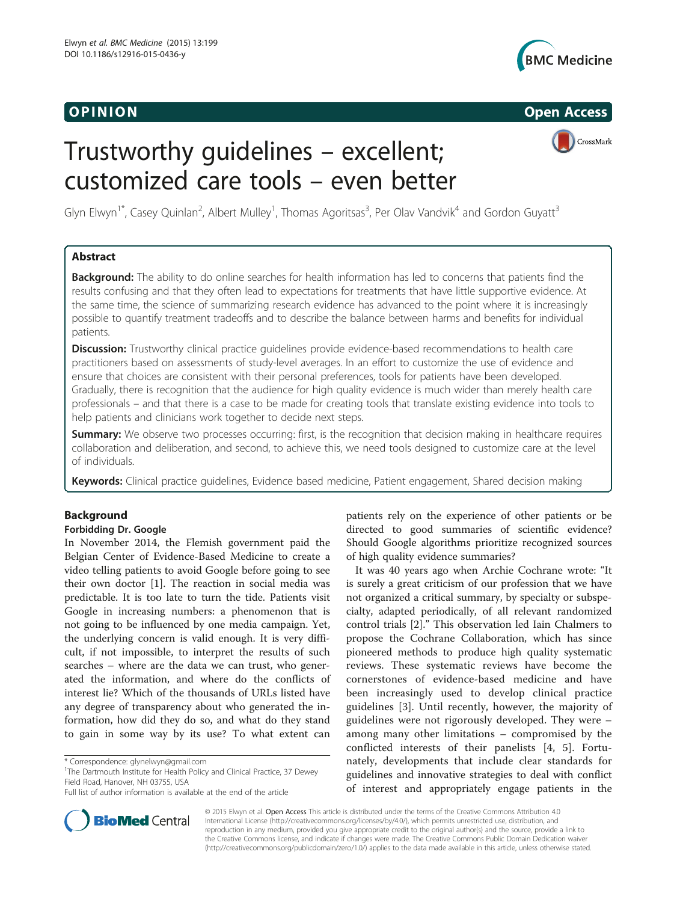

**OPINION** CONSIDERED AT A RESERVE THE CONSIDERED ASSAULT OF THE CONSIDERATION CONSIDERED AT A RESERVE THAT A RESERVE THAT A RESERVE THAT A RESERVE THAT A RESERVE THAT A RESERVE THAT A RESERVE THAT A RESERVE THAT A RESERVE

CrossMark

# Trustworthy guidelines – excellent; customized care tools – even better

Glyn Elwyn<sup>1\*</sup>, Casey Quinlan<sup>2</sup>, Albert Mulley<sup>1</sup>, Thomas Agoritsas<sup>3</sup>, Per Olav Vandvik<sup>4</sup> and Gordon Guyatt<sup>3</sup>

# Abstract

Background: The ability to do online searches for health information has led to concerns that patients find the results confusing and that they often lead to expectations for treatments that have little supportive evidence. At the same time, the science of summarizing research evidence has advanced to the point where it is increasingly possible to quantify treatment tradeoffs and to describe the balance between harms and benefits for individual patients.

Discussion: Trustworthy clinical practice quidelines provide evidence-based recommendations to health care practitioners based on assessments of study-level averages. In an effort to customize the use of evidence and ensure that choices are consistent with their personal preferences, tools for patients have been developed. Gradually, there is recognition that the audience for high quality evidence is much wider than merely health care professionals – and that there is a case to be made for creating tools that translate existing evidence into tools to help patients and clinicians work together to decide next steps.

Summary: We observe two processes occurring: first, is the recognition that decision making in healthcare requires collaboration and deliberation, and second, to achieve this, we need tools designed to customize care at the level of individuals.

Keywords: Clinical practice guidelines, Evidence based medicine, Patient engagement, Shared decision making

# Background

# Forbidding Dr. Google

In November 2014, the Flemish government paid the Belgian Center of Evidence-Based Medicine to create a video telling patients to avoid Google before going to see their own doctor [\[1](#page-3-0)]. The reaction in social media was predictable. It is too late to turn the tide. Patients visit Google in increasing numbers: a phenomenon that is not going to be influenced by one media campaign. Yet, the underlying concern is valid enough. It is very difficult, if not impossible, to interpret the results of such searches – where are the data we can trust, who generated the information, and where do the conflicts of interest lie? Which of the thousands of URLs listed have any degree of transparency about who generated the information, how did they do so, and what do they stand to gain in some way by its use? To what extent can

<sup>1</sup>The Dartmouth Institute for Health Policy and Clinical Practice, 37 Dewey Field Road, Hanover, NH 03755, USA

patients rely on the experience of other patients or be directed to good summaries of scientific evidence? Should Google algorithms prioritize recognized sources of high quality evidence summaries?

It was 40 years ago when Archie Cochrane wrote: "It is surely a great criticism of our profession that we have not organized a critical summary, by specialty or subspecialty, adapted periodically, of all relevant randomized control trials [\[2](#page-3-0)]." This observation led Iain Chalmers to propose the Cochrane Collaboration, which has since pioneered methods to produce high quality systematic reviews. These systematic reviews have become the cornerstones of evidence-based medicine and have been increasingly used to develop clinical practice guidelines [[3](#page-3-0)]. Until recently, however, the majority of guidelines were not rigorously developed. They were – among many other limitations – compromised by the conflicted interests of their panelists [\[4](#page-3-0), [5](#page-3-0)]. Fortunately, developments that include clear standards for guidelines and innovative strategies to deal with conflict of interest and appropriately engage patients in the



© 2015 Elwyn et al. Open Access This article is distributed under the terms of the Creative Commons Attribution 4.0 International License [\(http://creativecommons.org/licenses/by/4.0/](http://creativecommons.org/licenses/by/4.0/)), which permits unrestricted use, distribution, and reproduction in any medium, provided you give appropriate credit to the original author(s) and the source, provide a link to the Creative Commons license, and indicate if changes were made. The Creative Commons Public Domain Dedication waiver [\(http://creativecommons.org/publicdomain/zero/1.0/](http://creativecommons.org/publicdomain/zero/1.0/)) applies to the data made available in this article, unless otherwise stated.

<sup>\*</sup> Correspondence: [glynelwyn@gmail.com](mailto:glynelwyn@gmail.com) <sup>1</sup>

Full list of author information is available at the end of the article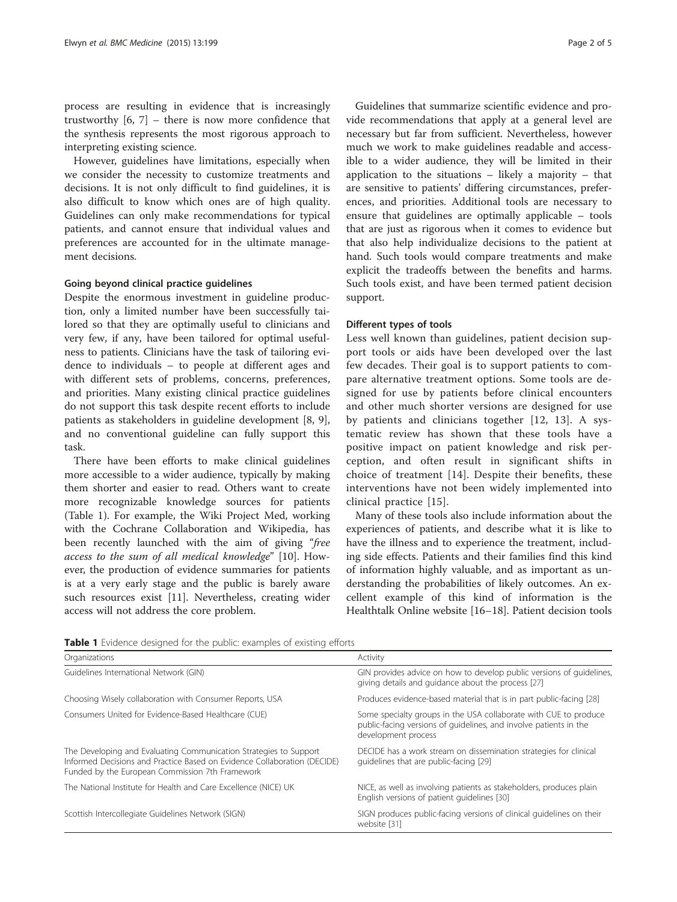process are resulting in evidence that is increasingly trustworthy  $[6, 7]$  $[6, 7]$  $[6, 7]$  $[6, 7]$  – there is now more confidence that the synthesis represents the most rigorous approach to interpreting existing science.

However, guidelines have limitations, especially when we consider the necessity to customize treatments and decisions. It is not only difficult to find guidelines, it is also difficult to know which ones are of high quality. Guidelines can only make recommendations for typical patients, and cannot ensure that individual values and preferences are accounted for in the ultimate management decisions.

# Going beyond clinical practice guidelines

Despite the enormous investment in guideline production, only a limited number have been successfully tailored so that they are optimally useful to clinicians and very few, if any, have been tailored for optimal usefulness to patients. Clinicians have the task of tailoring evidence to individuals – to people at different ages and with different sets of problems, concerns, preferences, and priorities. Many existing clinical practice guidelines do not support this task despite recent efforts to include patients as stakeholders in guideline development [[8, 9](#page-3-0)], and no conventional guideline can fully support this task.

There have been efforts to make clinical guidelines more accessible to a wider audience, typically by making them shorter and easier to read. Others want to create more recognizable knowledge sources for patients (Table 1). For example, the Wiki Project Med, working with the Cochrane Collaboration and Wikipedia, has been recently launched with the aim of giving "free access to the sum of all medical knowledge" [\[10](#page-3-0)]. However, the production of evidence summaries for patients is at a very early stage and the public is barely aware such resources exist [[11\]](#page-3-0). Nevertheless, creating wider access will not address the core problem.

Guidelines that summarize scientific evidence and provide recommendations that apply at a general level are necessary but far from sufficient. Nevertheless, however much we work to make guidelines readable and accessible to a wider audience, they will be limited in their application to the situations – likely a majority – that are sensitive to patients' differing circumstances, preferences, and priorities. Additional tools are necessary to ensure that guidelines are optimally applicable – tools that are just as rigorous when it comes to evidence but that also help individualize decisions to the patient at hand. Such tools would compare treatments and make explicit the tradeoffs between the benefits and harms. Such tools exist, and have been termed patient decision support.

# Different types of tools

Less well known than guidelines, patient decision support tools or aids have been developed over the last few decades. Their goal is to support patients to compare alternative treatment options. Some tools are designed for use by patients before clinical encounters and other much shorter versions are designed for use by patients and clinicians together [[12](#page-3-0), [13](#page-3-0)]. A systematic review has shown that these tools have a positive impact on patient knowledge and risk perception, and often result in significant shifts in choice of treatment [\[14](#page-3-0)]. Despite their benefits, these interventions have not been widely implemented into clinical practice [\[15](#page-3-0)].

Many of these tools also include information about the experiences of patients, and describe what it is like to have the illness and to experience the treatment, including side effects. Patients and their families find this kind of information highly valuable, and as important as understanding the probabilities of likely outcomes. An excellent example of this kind of information is the Healthtalk Online website [\[16](#page-4-0)–[18\]](#page-4-0). Patient decision tools

Table 1 Evidence designed for the public: examples of existing efforts

| Organizations                                                                                                                                                                                    | Activity                                                                                                                                                     |
|--------------------------------------------------------------------------------------------------------------------------------------------------------------------------------------------------|--------------------------------------------------------------------------------------------------------------------------------------------------------------|
| Guidelines International Network (GIN)                                                                                                                                                           | GIN provides advice on how to develop public versions of quidelines,<br>giving details and guidance about the process [27]                                   |
| Choosing Wisely collaboration with Consumer Reports, USA                                                                                                                                         | Produces evidence-based material that is in part public-facing [28]                                                                                          |
| Consumers United for Evidence-Based Healthcare (CUE)                                                                                                                                             | Some specialty groups in the USA collaborate with CUE to produce<br>public-facing versions of quidelines, and involve patients in the<br>development process |
| The Developing and Evaluating Communication Strategies to Support<br>Informed Decisions and Practice Based on Evidence Collaboration (DECIDE)<br>Funded by the European Commission 7th Framework | DECIDE has a work stream on dissemination strategies for clinical<br>quidelines that are public-facing [29]                                                  |
| The National Institute for Health and Care Excellence (NICE) UK                                                                                                                                  | NICE, as well as involving patients as stakeholders, produces plain<br>English versions of patient quidelines [30]                                           |
| Scottish Intercollegiate Guidelines Network (SIGN)                                                                                                                                               | SIGN produces public-facing versions of clinical quidelines on their<br>website [31]                                                                         |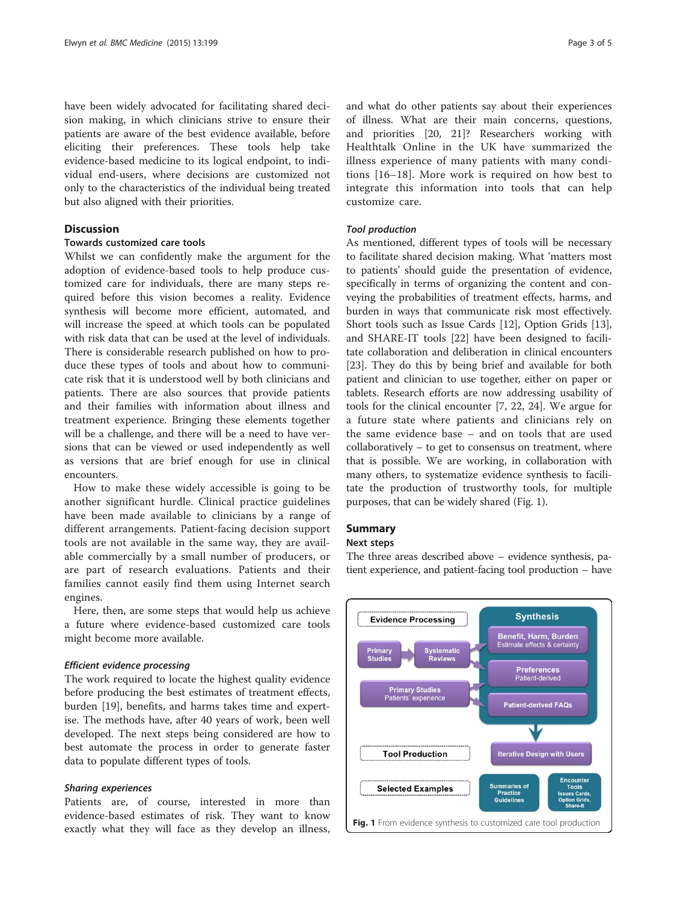have been widely advocated for facilitating shared decision making, in which clinicians strive to ensure their patients are aware of the best evidence available, before eliciting their preferences. These tools help take evidence-based medicine to its logical endpoint, to individual end-users, where decisions are customized not only to the characteristics of the individual being treated but also aligned with their priorities.

# **Discussion**

# Towards customized care tools

Whilst we can confidently make the argument for the adoption of evidence-based tools to help produce customized care for individuals, there are many steps required before this vision becomes a reality. Evidence synthesis will become more efficient, automated, and will increase the speed at which tools can be populated with risk data that can be used at the level of individuals. There is considerable research published on how to produce these types of tools and about how to communicate risk that it is understood well by both clinicians and patients. There are also sources that provide patients and their families with information about illness and treatment experience. Bringing these elements together will be a challenge, and there will be a need to have versions that can be viewed or used independently as well as versions that are brief enough for use in clinical encounters.

How to make these widely accessible is going to be another significant hurdle. Clinical practice guidelines have been made available to clinicians by a range of different arrangements. Patient-facing decision support tools are not available in the same way, they are available commercially by a small number of producers, or are part of research evaluations. Patients and their families cannot easily find them using Internet search engines.

Here, then, are some steps that would help us achieve a future where evidence-based customized care tools might become more available.

# Efficient evidence processing

The work required to locate the highest quality evidence before producing the best estimates of treatment effects, burden [[19](#page-4-0)], benefits, and harms takes time and expertise. The methods have, after 40 years of work, been well developed. The next steps being considered are how to best automate the process in order to generate faster data to populate different types of tools.

# Sharing experiences

Patients are, of course, interested in more than evidence-based estimates of risk. They want to know exactly what they will face as they develop an illness,

and what do other patients say about their experiences of illness. What are their main concerns, questions, and priorities [[20](#page-4-0), [21\]](#page-4-0)? Researchers working with Healthtalk Online in the UK have summarized the illness experience of many patients with many conditions [[16](#page-4-0)–[18](#page-4-0)]. More work is required on how best to integrate this information into tools that can help customize care.

# Tool production

As mentioned, different types of tools will be necessary to facilitate shared decision making. What 'matters most to patients' should guide the presentation of evidence, specifically in terms of organizing the content and conveying the probabilities of treatment effects, harms, and burden in ways that communicate risk most effectively. Short tools such as Issue Cards [[12\]](#page-3-0), Option Grids [\[13](#page-3-0)], and SHARE-IT tools [[22\]](#page-4-0) have been designed to facilitate collaboration and deliberation in clinical encounters [[23\]](#page-4-0). They do this by being brief and available for both patient and clinician to use together, either on paper or tablets. Research efforts are now addressing usability of tools for the clinical encounter [\[7](#page-3-0), [22](#page-4-0), [24\]](#page-4-0). We argue for a future state where patients and clinicians rely on the same evidence base – and on tools that are used collaboratively – to get to consensus on treatment, where that is possible. We are working, in collaboration with many others, to systematize evidence synthesis to facilitate the production of trustworthy tools, for multiple purposes, that can be widely shared (Fig. 1).

# Summary

# Next steps

The three areas described above – evidence synthesis, patient experience, and patient-facing tool production – have

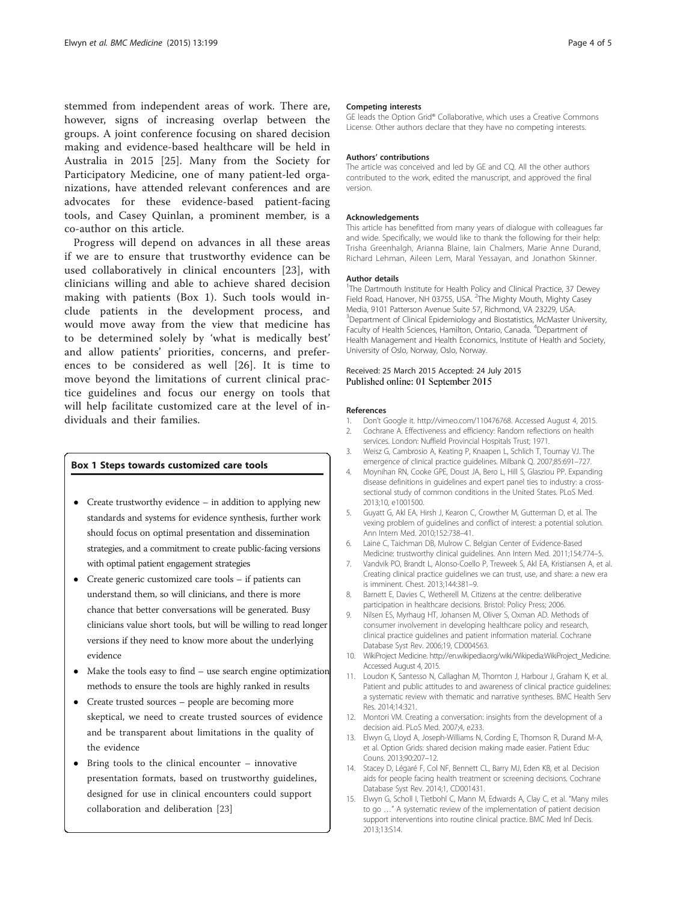<span id="page-3-0"></span>stemmed from independent areas of work. There are, however, signs of increasing overlap between the groups. A joint conference focusing on shared decision making and evidence-based healthcare will be held in Australia in 2015 [[25\]](#page-4-0). Many from the Society for Participatory Medicine, one of many patient-led organizations, have attended relevant conferences and are advocates for these evidence-based patient-facing tools, and Casey Quinlan, a prominent member, is a co-author on this article.

Progress will depend on advances in all these areas if we are to ensure that trustworthy evidence can be used collaboratively in clinical encounters [\[23](#page-4-0)], with clinicians willing and able to achieve shared decision making with patients (Box 1). Such tools would include patients in the development process, and would move away from the view that medicine has to be determined solely by 'what is medically best' and allow patients' priorities, concerns, and preferences to be considered as well [[26\]](#page-4-0). It is time to move beyond the limitations of current clinical practice guidelines and focus our energy on tools that will help facilitate customized care at the level of individuals and their families.

# Box 1 Steps towards customized care tools

- Create trustworthy evidence in addition to applying new standards and systems for evidence synthesis, further work should focus on optimal presentation and dissemination strategies, and a commitment to create public-facing versions with optimal patient engagement strategies
- Create generic customized care tools if patients can understand them, so will clinicians, and there is more chance that better conversations will be generated. Busy clinicians value short tools, but will be willing to read longer versions if they need to know more about the underlying evidence
- Make the tools easy to find use search engine optimization methods to ensure the tools are highly ranked in results
- Create trusted sources people are becoming more skeptical, we need to create trusted sources of evidence and be transparent about limitations in the quality of the evidence
- Bring tools to the clinical encounter innovative presentation formats, based on trustworthy guidelines, designed for use in clinical encounters could support collaboration and deliberation [\[23\]](#page-4-0)

#### Competing interests

GE leads the Option Grid® Collaborative, which uses a Creative Commons License. Other authors declare that they have no competing interests.

#### Authors' contributions

The article was conceived and led by GE and CQ. All the other authors contributed to the work, edited the manuscript, and approved the final version.

#### Acknowledgements

This article has benefitted from many years of dialogue with colleagues far and wide. Specifically, we would like to thank the following for their help: Trisha Greenhalgh, Arianna Blaine, Iain Chalmers, Marie Anne Durand, Richard Lehman, Aileen Lem, Maral Yessayan, and Jonathon Skinner.

#### Author details

<sup>1</sup>The Dartmouth Institute for Health Policy and Clinical Practice, 37 Dewey Field Road, Hanover, NH 03755, USA. <sup>2</sup>The Mighty Mouth, Mighty Casey Media, 9101 Patterson Avenue Suite 57, Richmond, VA 23229, USA. <sup>3</sup> Department of Clinical Epidemiology and Biostatistics, McMaster University Faculty of Health Sciences, Hamilton, Ontario, Canada. <sup>4</sup>Department of Health Management and Health Economics, Institute of Health and Society, University of Oslo, Norway, Oslo, Norway.

#### Received: 25 March 2015 Accepted: 24 July 2015 Published online: 01 September 2015

#### References

- 1. Don't Google it. [http://vimeo.com/110476768.](http://vimeo.com/110476768) Accessed August 4, 2015.
- 2. Cochrane A. Effectiveness and efficiency: Random reflections on health
- services. London: Nuffield Provincial Hospitals Trust; 1971. 3. Weisz G, Cambrosio A, Keating P, Knaapen L, Schlich T, Tournay VJ. The emergence of clinical practice guidelines. Milbank Q. 2007;85:691–727.
- 4. Moynihan RN, Cooke GPE, Doust JA, Bero L, Hill S, Glasziou PP. Expanding disease definitions in guidelines and expert panel ties to industry: a crosssectional study of common conditions in the United States. PLoS Med. 2013;10, e1001500.
- 5. Guyatt G, Akl EA, Hirsh J, Kearon C, Crowther M, Gutterman D, et al. The vexing problem of guidelines and conflict of interest: a potential solution. Ann Intern Med. 2010;152:738–41.
- 6. Laine C, Taichman DB, Mulrow C. Belgian Center of Evidence-Based Medicine: trustworthy clinical guidelines. Ann Intern Med. 2011;154:774–5.
- 7. Vandvik PO, Brandt L, Alonso-Coello P, Treweek S, Akl EA, Kristiansen A, et al. Creating clinical practice guidelines we can trust, use, and share: a new era is imminent. Chest. 2013;144:381–9.
- Barnett E, Davies C, Wetherell M. Citizens at the centre: deliberative participation in healthcare decisions. Bristol: Policy Press; 2006.
- 9. Nilsen ES, Myrhaug HT, Johansen M, Oliver S, Oxman AD. Methods of consumer involvement in developing healthcare policy and research, clinical practice guidelines and patient information material. Cochrane Database Syst Rev. 2006;19, CD004563.
- 10. WikiProject Medicine. [http://en.wikipedia.org/wiki/Wikipedia:WikiProject\\_Medicine](http://en.wikipedia.org/wiki/Wikipedia:WikiProject_Medicine). Accessed August 4, 2015.
- 11. Loudon K, Santesso N, Callaghan M, Thornton J, Harbour J, Graham K, et al. Patient and public attitudes to and awareness of clinical practice guidelines: a systematic review with thematic and narrative syntheses. BMC Health Serv Res. 2014;14:321.
- 12. Montori VM. Creating a conversation: insights from the development of a decision aid. PLoS Med. 2007;4, e233.
- 13. Elwyn G, Lloyd A, Joseph-Williams N, Cording E, Thomson R, Durand M-A, et al. Option Grids: shared decision making made easier. Patient Educ Couns. 2013;90:207–12.
- 14. Stacey D, Légaré F, Col NF, Bennett CL, Barry MJ, Eden KB, et al. Decision aids for people facing health treatment or screening decisions. Cochrane Database Syst Rev. 2014;1, CD001431.
- 15. Elwyn G, Scholl I, Tietbohl C, Mann M, Edwards A, Clay C, et al. "Many miles to go …" A systematic review of the implementation of patient decision support interventions into routine clinical practice. BMC Med Inf Decis. 2013;13:S14.